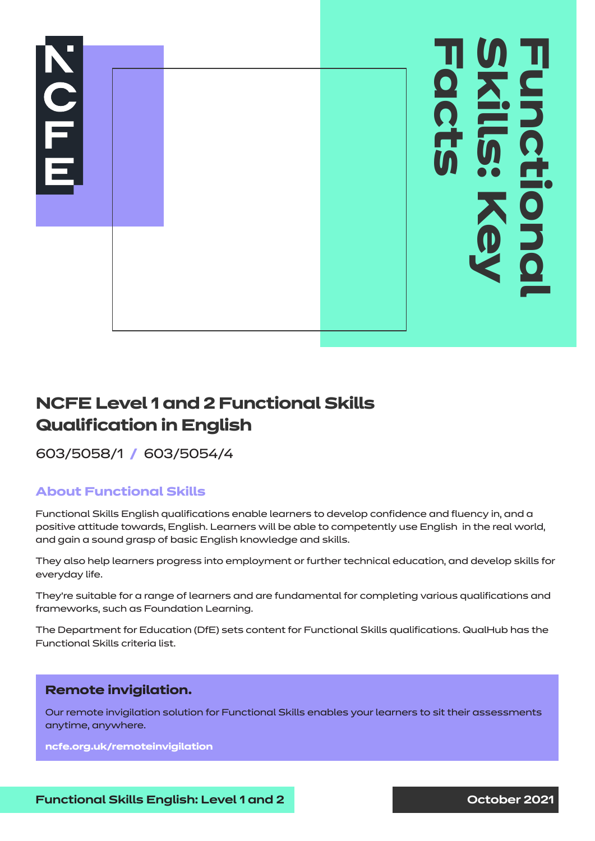

# **NCFE Level 1 and 2 Functional Skills Qualification in English**

603/5058/1 **/** 603/5054/4

## **About Functional Skills**

Functional Skills English qualifications enable learners to develop confidence and fluency in, and a positive attitude towards, English. Learners will be able to competently use English in the real world, and gain a sound grasp of basic English knowledge and skills.

They also help learners progress into employment or further technical education, and develop skills for everyday life.

They're suitable for a range of learners and are fundamental for completing various qualifications and frameworks, such as Foundation Learning.

The Department for Education (DfE) sets content for Functional Skills qualifications. QualHub has the Functional Skills criteria list.

## **Remote invigilation.**

Our remote invigilation solution for Functional Skills enables your learners to sit their assessments anytime, anywhere.

**ncfe.org.uk/remoteinvigilation**

**Functional Skills English: Level 1 and 2 Constanting Constant 2021**